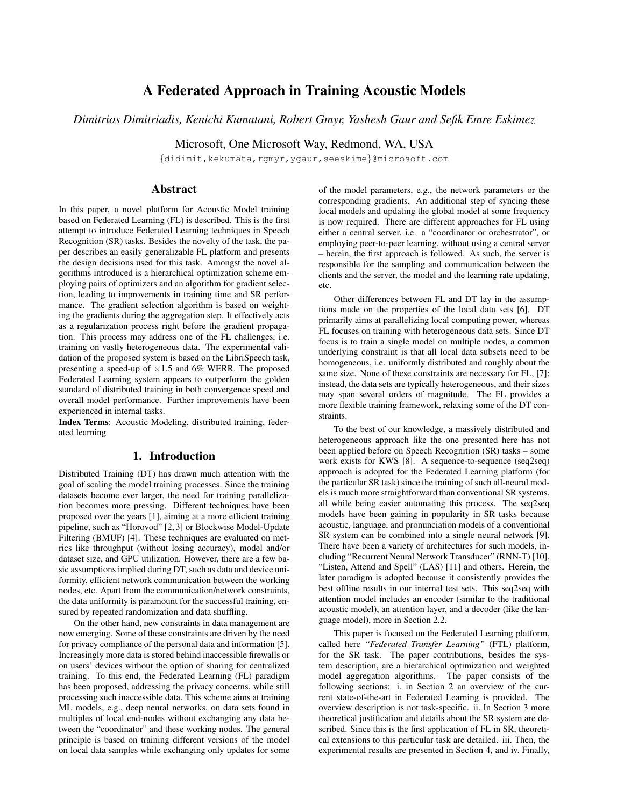# A Federated Approach in Training Acoustic Models

# *Dimitrios Dimitriadis, Kenichi Kumatani, Robert Gmyr, Yashesh Gaur and Sefik Emre Eskimez*

Microsoft, One Microsoft Way, Redmond, WA, USA

{didimit,kekumata,rgmyr,ygaur,seeskime}@microsoft.com

## Abstract

In this paper, a novel platform for Acoustic Model training based on Federated Learning (FL) is described. This is the first attempt to introduce Federated Learning techniques in Speech Recognition (SR) tasks. Besides the novelty of the task, the paper describes an easily generalizable FL platform and presents the design decisions used for this task. Amongst the novel algorithms introduced is a hierarchical optimization scheme employing pairs of optimizers and an algorithm for gradient selection, leading to improvements in training time and SR performance. The gradient selection algorithm is based on weighting the gradients during the aggregation step. It effectively acts as a regularization process right before the gradient propagation. This process may address one of the FL challenges, i.e. training on vastly heterogeneous data. The experimental validation of the proposed system is based on the LibriSpeech task, presenting a speed-up of  $\times1.5$  and 6% WERR. The proposed Federated Learning system appears to outperform the golden standard of distributed training in both convergence speed and overall model performance. Further improvements have been experienced in internal tasks.

Index Terms: Acoustic Modeling, distributed training, federated learning

### 1. Introduction

Distributed Training (DT) has drawn much attention with the goal of scaling the model training processes. Since the training datasets become ever larger, the need for training parallelization becomes more pressing. Different techniques have been proposed over the years [1], aiming at a more efficient training pipeline, such as "Horovod" [2, 3] or Blockwise Model-Update Filtering (BMUF) [4]. These techniques are evaluated on metrics like throughput (without losing accuracy), model and/or dataset size, and GPU utilization. However, there are a few basic assumptions implied during DT, such as data and device uniformity, efficient network communication between the working nodes, etc. Apart from the communication/network constraints, the data uniformity is paramount for the successful training, ensured by repeated randomization and data shuffling.

On the other hand, new constraints in data management are now emerging. Some of these constraints are driven by the need for privacy compliance of the personal data and information [5]. Increasingly more data is stored behind inaccessible firewalls or on users' devices without the option of sharing for centralized training. To this end, the Federated Learning (FL) paradigm has been proposed, addressing the privacy concerns, while still processing such inaccessible data. This scheme aims at training ML models, e.g., deep neural networks, on data sets found in multiples of local end-nodes without exchanging any data between the "coordinator" and these working nodes. The general principle is based on training different versions of the model on local data samples while exchanging only updates for some of the model parameters, e.g., the network parameters or the corresponding gradients. An additional step of syncing these local models and updating the global model at some frequency is now required. There are different approaches for FL using either a central server, i.e. a "coordinator or orchestrator", or employing peer-to-peer learning, without using a central server – herein, the first approach is followed. As such, the server is responsible for the sampling and communication between the clients and the server, the model and the learning rate updating, etc.

Other differences between FL and DT lay in the assumptions made on the properties of the local data sets [6]. DT primarily aims at parallelizing local computing power, whereas FL focuses on training with heterogeneous data sets. Since DT focus is to train a single model on multiple nodes, a common underlying constraint is that all local data subsets need to be homogeneous, i.e. uniformly distributed and roughly about the same size. None of these constraints are necessary for FL, [7]; instead, the data sets are typically heterogeneous, and their sizes may span several orders of magnitude. The FL provides a more flexible training framework, relaxing some of the DT constraints.

To the best of our knowledge, a massively distributed and heterogeneous approach like the one presented here has not been applied before on Speech Recognition (SR) tasks – some work exists for KWS [8]. A sequence-to-sequence (seq2seq) approach is adopted for the Federated Learning platform (for the particular SR task) since the training of such all-neural models is much more straightforward than conventional SR systems, all while being easier automating this process. The seq2seq models have been gaining in popularity in SR tasks because acoustic, language, and pronunciation models of a conventional SR system can be combined into a single neural network [9]. There have been a variety of architectures for such models, including "Recurrent Neural Network Transducer" (RNN-T) [10], "Listen, Attend and Spell" (LAS) [11] and others. Herein, the later paradigm is adopted because it consistently provides the best offline results in our internal test sets. This seq2seq with attention model includes an encoder (similar to the traditional acoustic model), an attention layer, and a decoder (like the language model), more in Section 2.2.

This paper is focused on the Federated Learning platform, called here *"Federated Transfer Learning"* (FTL) platform, for the SR task. The paper contributions, besides the system description, are a hierarchical optimization and weighted model aggregation algorithms. The paper consists of the following sections: i. in Section 2 an overview of the current state-of-the-art in Federated Learning is provided. The overview description is not task-specific. ii. In Section 3 more theoretical justification and details about the SR system are described. Since this is the first application of FL in SR, theoretical extensions to this particular task are detailed. iii. Then, the experimental results are presented in Section 4, and iv. Finally,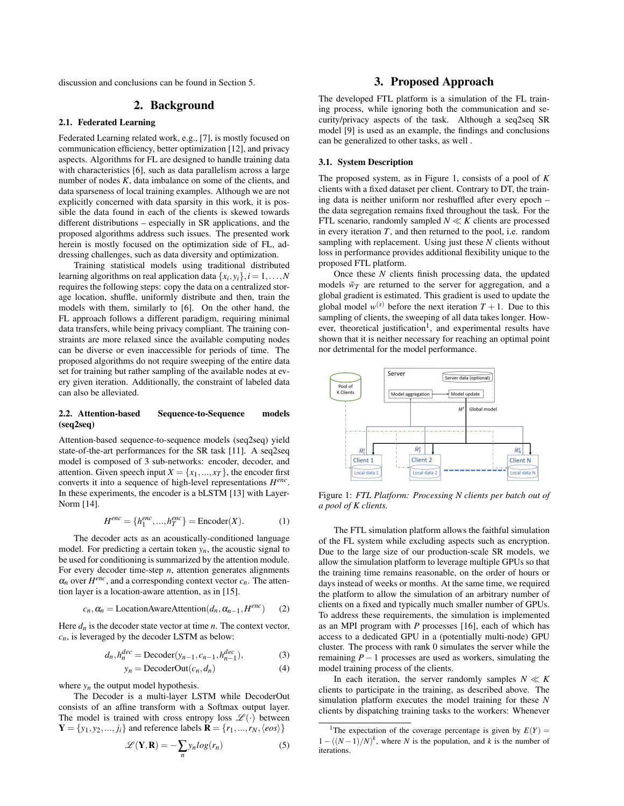discussion and conclusions can be found in Section 5.

# 2. Background

### 2.1. Federated Learning

Federated Learning related work, e.g., [7], is mostly focused on communication efficiency, better optimization [12], and privacy aspects. Algorithms for FL are designed to handle training data with characteristics [6], such as data parallelism across a large number of nodes *K*, data imbalance on some of the clients, and data sparseness of local training examples. Although we are not explicitly concerned with data sparsity in this work, it is possible the data found in each of the clients is skewed towards different distributions – especially in SR applications, and the proposed algorithms address such issues. The presented work herein is mostly focused on the optimization side of FL, addressing challenges, such as data diversity and optimization.

Training statistical models using traditional distributed learning algorithms on real application data  $\{x_i, y_i\}$ ,  $i = 1, \ldots, N$ requires the following steps: copy the data on a centralized storage location, shuffle, uniformly distribute and then, train the models with them, similarly to [6]. On the other hand, the FL approach follows a different paradigm, requiring minimal data transfers, while being privacy compliant. The training constraints are more relaxed since the available computing nodes can be diverse or even inaccessible for periods of time. The proposed algorithms do not require sweeping of the entire data set for training but rather sampling of the available nodes at every given iteration. Additionally, the constraint of labeled data can also be alleviated.

### 2.2. Attention-based Sequence-to-Sequence models (seq2seq)

Attention-based sequence-to-sequence models (seq2seq) yield state-of-the-art performances for the SR task [11]. A seq2seq model is composed of 3 sub-networks: encoder, decoder, and attention. Given speech input  $X = \{x_1, ..., x_T\}$ , the encoder first converts it into a sequence of high-level representations *H enc* . In these experiments, the encoder is a bLSTM [13] with Layer-Norm [14].

$$
H^{enc} = \{h_1^{enc}, \dots, h_T^{enc}\} = \text{Encoder}(X). \tag{1}
$$

The decoder acts as an acoustically-conditioned language model. For predicting a certain token  $y_n$ , the acoustic signal to be used for conditioning is summarized by the attention module. For every decoder time-step *n*, attention generates alignments  $\alpha_n$  over  $H^{enc}$ , and a corresponding context vector  $c_n$ . The attention layer is a location-aware attention, as in [15].

$$
c_n, \alpha_n = \text{LocationAwareAttention}(d_n, \alpha_{n-1}, H^{enc}) \tag{2}
$$

Here  $d_n$  is the decoder state vector at time  $n$ . The context vector,  $c_n$ , is leveraged by the decoder LSTM as below:

$$
d_n, h_n^{dec} = \text{Decoder}(y_{n-1}, c_{n-1}, h_{n-1}^{dec}),\tag{3}
$$

 $y_n = \text{DecoderOut}(c_n, d_n)$  (4)

where  $y_n$  the output model hypothesis. The Decoder is a multi-layer LSTM while DecoderOut consists of an affine transform with a Softmax output layer. The model is trained with cross entropy loss  $\mathscr{L}(\cdot)$  between

 $Y = \{y_1, y_2, ..., j_i\}$  and reference labels  $\mathbf{R} = \{r_1, ..., r_N, \langle eos\rangle\}$ 

$$
\mathcal{L}(\mathbf{Y}, \mathbf{R}) = -\sum_{n} y_n \log(r_n)
$$
 (5)

## 3. Proposed Approach

The developed FTL platform is a simulation of the FL training process, while ignoring both the communication and security/privacy aspects of the task. Although a seq2seq SR model [9] is used as an example, the findings and conclusions can be generalized to other tasks, as well .

#### 3.1. System Description

The proposed system, as in Figure 1, consists of a pool of *K* clients with a fixed dataset per client. Contrary to DT, the training data is neither uniform nor reshuffled after every epoch – the data segregation remains fixed throughout the task. For the FTL scenario, randomly sampled  $N \ll K$  clients are processed in every iteration *T*, and then returned to the pool, i.e. random sampling with replacement. Using just these *N* clients without loss in performance provides additional flexibility unique to the proposed FTL platform.

Once these *N* clients finish processing data, the updated models  $\tilde{w}_T$  are returned to the server for aggregation, and a global gradient is estimated. This gradient is used to update the global model  $w^{(s)}$  before the next iteration  $T + 1$ . Due to this sampling of clients, the sweeping of all data takes longer. However, theoretical justification<sup>1</sup>, and experimental results have shown that it is neither necessary for reaching an optimal point nor detrimental for the model performance.



Figure 1: *FTL Platform: Processing N clients per batch out of a pool of K clients.*

The FTL simulation platform allows the faithful simulation of the FL system while excluding aspects such as encryption. Due to the large size of our production-scale SR models, we allow the simulation platform to leverage multiple GPUs so that the training time remains reasonable, on the order of hours or days instead of weeks or months. At the same time, we required the platform to allow the simulation of an arbitrary number of clients on a fixed and typically much smaller number of GPUs. To address these requirements, the simulation is implemented as an MPI program with *P* processes [16], each of which has access to a dedicated GPU in a (potentially multi-node) GPU cluster. The process with rank 0 simulates the server while the remaining  $P-1$  processes are used as workers, simulating the model training process of the clients.

In each iteration, the server randomly samples  $N \ll K$ clients to participate in the training, as described above. The simulation platform executes the model training for these *N* clients by dispatching training tasks to the workers: Whenever

<sup>&</sup>lt;sup>1</sup>The expectation of the coverage percentage is given by  $E(Y) =$  $1 - ((N-1)/N)^k$ , where *N* is the population, and *k* is the number of iterations.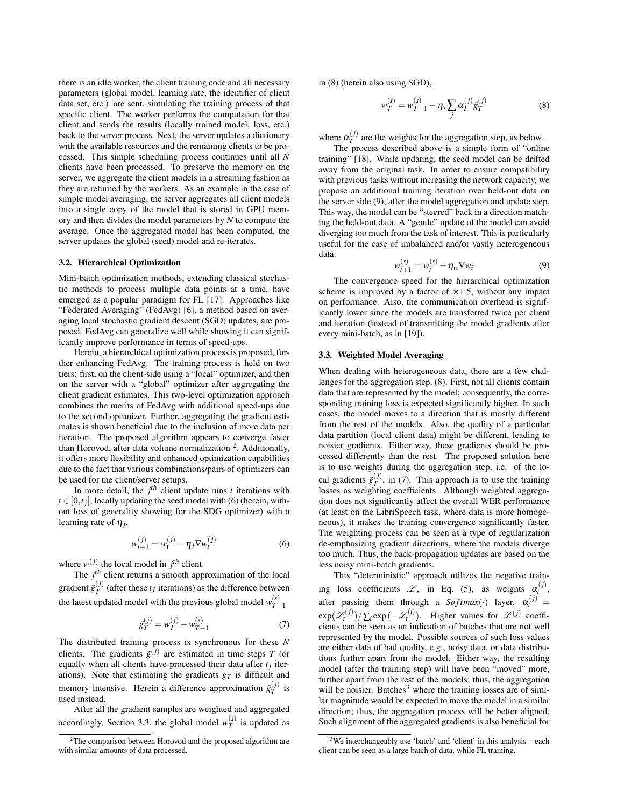there is an idle worker, the client training code and all necessary parameters (global model, learning rate, the identifier of client data set, etc.) are sent, simulating the training process of that specific client. The worker performs the computation for that client and sends the results (locally trained model, loss, etc.) back to the server process. Next, the server updates a dictionary with the available resources and the remaining clients to be processed. This simple scheduling process continues until all *N* clients have been processed. To preserve the memory on the server, we aggregate the client models in a streaming fashion as they are returned by the workers. As an example in the case of simple model averaging, the server aggregates all client models into a single copy of the model that is stored in GPU memory and then divides the model parameters by *N* to compute the average. Once the aggregated model has been computed, the server updates the global (seed) model and re-iterates.

#### 3.2. Hierarchical Optimization

Mini-batch optimization methods, extending classical stochastic methods to process multiple data points at a time, have emerged as a popular paradigm for FL [17]. Approaches like "Federated Averaging" (FedAvg) [6], a method based on averaging local stochastic gradient descent (SGD) updates, are proposed. FedAvg can generalize well while showing it can significantly improve performance in terms of speed-ups.

Herein, a hierarchical optimization process is proposed, further enhancing FedAvg. The training process is held on two tiers: first, on the client-side using a "local" optimizer, and then on the server with a "global" optimizer after aggregating the client gradient estimates. This two-level optimization approach combines the merits of FedAvg with additional speed-ups due to the second optimizer. Further, aggregating the gradient estimates is shown beneficial due to the inclusion of more data per iteration. The proposed algorithm appears to converge faster than Horovod, after data volume normalization<sup>2</sup>. Additionally, it offers more flexibility and enhanced optimization capabilities due to the fact that various combinations/pairs of optimizers can be used for the client/server setups.

In more detail, the  $j<sup>th</sup>$  client update runs  $t$  iterations with  $t \in [0, t_j]$ , locally updating the seed model with (6) (herein, without loss of generality showing for the SDG optimizer) with a learning rate of  $\eta_j$ ,

$$
w_{t+1}^{(j)} = w_t^{(j)} - \eta_j \nabla w_t^{(j)}
$$
 (6)

where  $w^{(j)}$  the local model in  $j^{th}$  client.

The  $j<sup>th</sup>$  client returns a smooth approximation of the local gradient  $\tilde{g}_T^{(j)}$  (after these  $t_J$  iterations) as the difference between the latest updated model with the previous global model  $w_{T-1}^{(s)}$ 

$$
\tilde{g}_T^{(j)} = w_T^{(j)} - w_{T-1}^{(s)}
$$
\n(7)

The distributed training process is synchronous for these *N* clients. The gradients  $\tilde{g}^{(j)}$  are estimated in time steps *T* (or equally when all clients have processed their data after  $t_j$  iterations). Note that estimating the gradients  $g_T$  is difficult and memory intensive. Herein a difference approximation  $\tilde{g}_T^{(j)}$  is used instead.

After all the gradient samples are weighted and aggregated accordingly, Section 3.3, the global model  $w_T^{(s)}$  is updated as

in (8) (herein also using SGD),

$$
w_T^{(s)} = w_{T-1}^{(s)} - \eta_s \sum_j \alpha_T^{(j)} \tilde{g}_T^{(j)}
$$
(8)

where  $\alpha_T^{(j)}$  are the weights for the aggregation step, as below.

The process described above is a simple form of "online training" [18]. While updating, the seed model can be drifted away from the original task. In order to ensure compatibility with previous tasks without increasing the network capacity, we propose an additional training iteration over held-out data on the server side (9), after the model aggregation and update step. This way, the model can be "steered" back in a direction matching the held-out data. A "gentle" update of the model can avoid diverging too much from the task of interest. This is particularly useful for the case of imbalanced and/or vastly heterogeneous data. (*s*)

$$
w_{\tilde{t}+1}^{(s)} = w_{\tilde{t}}^{(s)} - \eta_w \nabla w_{\tilde{t}} \tag{9}
$$

The convergence speed for the hierarchical optimization scheme is improved by a factor of  $\times 1.5$ , without any impact on performance. Also, the communication overhead is significantly lower since the models are transferred twice per client and iteration (instead of transmitting the model gradients after every mini-batch, as in [19]).

#### 3.3. Weighted Model Averaging

When dealing with heterogeneous data, there are a few challenges for the aggregation step, (8). First, not all clients contain data that are represented by the model; consequently, the corresponding training loss is expected significantly higher. In such cases, the model moves to a direction that is mostly different from the rest of the models. Also, the quality of a particular data partition (local client data) might be different, leading to noisier gradients. Either way, these gradients should be processed differently than the rest. The proposed solution here is to use weights during the aggregation step, i.e. of the local gradients  $\tilde{g}_T^{(j)}$ , in (7). This approach is to use the training losses as weighting coefficients. Although weighted aggregation does not significantly affect the overall WER performance (at least on the LibriSpeech task, where data is more homogeneous), it makes the training convergence significantly faster. The weighting process can be seen as a type of regularization de-emphasizing gradient directions, where the models diverge too much. Thus, the back-propagation updates are based on the less noisy mini-batch gradients.

This "deterministic" approach utilizes the negative training loss coefficients  $\mathscr{L}$ , in Eq. (5), as weights  $\alpha_t^{(j)}$ , after passing them through a  $Softmax(\cdot)$  layer,  $\alpha_t^{(j)}$  =  $\exp(\mathscr{L}_t^{(j)})/\sum_i \exp(-\mathscr{L}_t^{(i)})$ . Higher values for  $\mathscr{L}^{(j)}$  coefficients can be seen as an indication of batches that are not well represented by the model. Possible sources of such loss values are either data of bad quality, e.g., noisy data, or data distributions further apart from the model. Either way, the resulting model (after the training step) will have been "moved" more, further apart from the rest of the models; thus, the aggregation will be noisier. Batches<sup>3</sup> where the training losses are of similar magnitude would be expected to move the model in a similar direction; thus, the aggregation process will be better aligned. Such alignment of the aggregated gradients is also beneficial for

 $2$ The comparison between Horovod and the proposed algorithm are with similar amounts of data processed.

 $3$ We interchangeably use 'batch' and 'client' in this analysis – each client can be seen as a large batch of data, while FL training.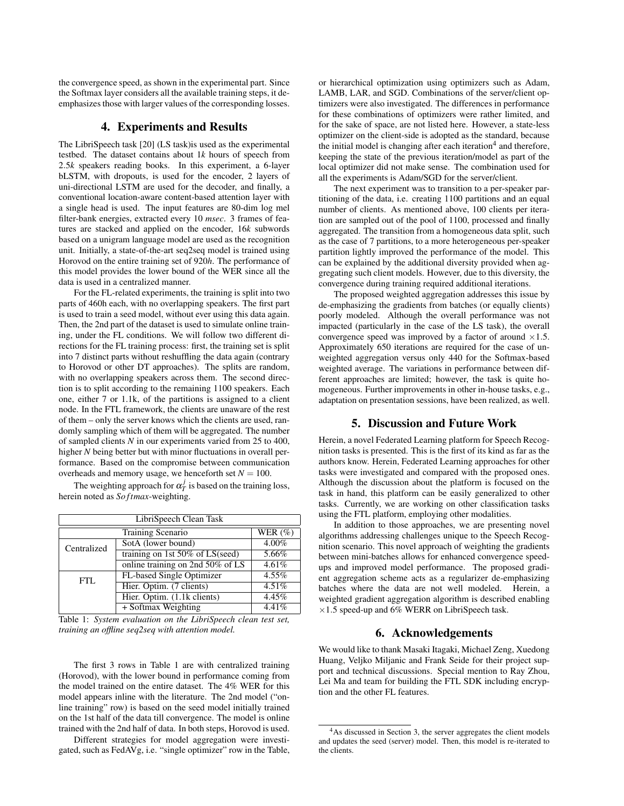the convergence speed, as shown in the experimental part. Since the Softmax layer considers all the available training steps, it deemphasizes those with larger values of the corresponding losses.

## 4. Experiments and Results

The LibriSpeech task [20] (LS task)is used as the experimental testbed. The dataset contains about 1*k* hours of speech from 2.5*k* speakers reading books. In this experiment, a 6-layer bLSTM, with dropouts, is used for the encoder, 2 layers of uni-directional LSTM are used for the decoder, and finally, a conventional location-aware content-based attention layer with a single head is used. The input features are 80-dim log mel filter-bank energies, extracted every 10 *msec*. 3 frames of features are stacked and applied on the encoder, 16*k* subwords based on a unigram language model are used as the recognition unit. Initially, a state-of-the-art seq2seq model is trained using Horovod on the entire training set of 920*h*. The performance of this model provides the lower bound of the WER since all the data is used in a centralized manner.

For the FL-related experiments, the training is split into two parts of 460h each, with no overlapping speakers. The first part is used to train a seed model, without ever using this data again. Then, the 2nd part of the dataset is used to simulate online training, under the FL conditions. We will follow two different directions for the FL training process: first, the training set is split into 7 distinct parts without reshuffling the data again (contrary to Horovod or other DT approaches). The splits are random, with no overlapping speakers across them. The second direction is to split according to the remaining 1100 speakers. Each one, either 7 or 1.1k, of the partitions is assigned to a client node. In the FTL framework, the clients are unaware of the rest of them – only the server knows which the clients are used, randomly sampling which of them will be aggregated. The number of sampled clients *N* in our experiments varied from 25 to 400, higher *N* being better but with minor fluctuations in overall performance. Based on the compromise between communication overheads and memory usage, we henceforth set  $N = 100$ .

The weighting approach for  $\alpha_T^j$  is based on the training loss, herein noted as *So ftmax*-weighting.

| LibriSpeech Clean Task |                                    |            |
|------------------------|------------------------------------|------------|
| Training Scenario      |                                    | WER $(\%)$ |
| Centralized            | SotA (lower bound)                 | 4.00%      |
|                        | training on 1st $50\%$ of LS(seed) | $5.66\%$   |
|                        | online training on 2nd 50% of LS   | 4.61%      |
| FTL.                   | FL-based Single Optimizer          | 4.55%      |
|                        | Hier. Optim. (7 clients)           | 4.51%      |
|                        | Hier. Optim. (1.1k clients)        | 4.45%      |
|                        | + Softmax Weighting                | 4.41%      |

Table 1: *System evaluation on the LibriSpeech clean test set, training an offline seq2seq with attention model.*

The first 3 rows in Table 1 are with centralized training (Horovod), with the lower bound in performance coming from the model trained on the entire dataset. The 4% WER for this model appears inline with the literature. The 2nd model ("online training" row) is based on the seed model initially trained on the 1st half of the data till convergence. The model is online trained with the 2nd half of data. In both steps, Horovod is used.

Different strategies for model aggregation were investigated, such as FedAVg, i.e. "single optimizer" row in the Table, or hierarchical optimization using optimizers such as Adam, LAMB, LAR, and SGD. Combinations of the server/client optimizers were also investigated. The differences in performance for these combinations of optimizers were rather limited, and for the sake of space, are not listed here. However, a state-less optimizer on the client-side is adopted as the standard, because the initial model is changing after each iteration<sup>4</sup> and therefore, keeping the state of the previous iteration/model as part of the local optimizer did not make sense. The combination used for all the experiments is Adam/SGD for the server/client.

The next experiment was to transition to a per-speaker partitioning of the data, i.e. creating 1100 partitions and an equal number of clients. As mentioned above, 100 clients per iteration are sampled out of the pool of 1100, processed and finally aggregated. The transition from a homogeneous data split, such as the case of 7 partitions, to a more heterogeneous per-speaker partition lightly improved the performance of the model. This can be explained by the additional diversity provided when aggregating such client models. However, due to this diversity, the convergence during training required additional iterations.

The proposed weighted aggregation addresses this issue by de-emphasizing the gradients from batches (or equally clients) poorly modeled. Although the overall performance was not impacted (particularly in the case of the LS task), the overall convergence speed was improved by a factor of around  $\times 1.5$ . Approximately 650 iterations are required for the case of unweighted aggregation versus only 440 for the Softmax-based weighted average. The variations in performance between different approaches are limited; however, the task is quite homogeneous. Further improvements in other in-house tasks, e.g., adaptation on presentation sessions, have been realized, as well.

### 5. Discussion and Future Work

Herein, a novel Federated Learning platform for Speech Recognition tasks is presented. This is the first of its kind as far as the authors know. Herein, Federated Learning approaches for other tasks were investigated and compared with the proposed ones. Although the discussion about the platform is focused on the task in hand, this platform can be easily generalized to other tasks. Currently, we are working on other classification tasks using the FTL platform, employing other modalities.

In addition to those approaches, we are presenting novel algorithms addressing challenges unique to the Speech Recognition scenario. This novel approach of weighting the gradients between mini-batches allows for enhanced convergence speedups and improved model performance. The proposed gradient aggregation scheme acts as a regularizer de-emphasizing batches where the data are not well modeled. Herein, a weighted gradient aggregation algorithm is described enabling  $\times$ 1.5 speed-up and 6% WERR on LibriSpeech task.

# 6. Acknowledgements

We would like to thank Masaki Itagaki, Michael Zeng, Xuedong Huang, Veljko Miljanic and Frank Seide for their project support and technical discussions. Special mention to Ray Zhou, Lei Ma and team for building the FTL SDK including encryption and the other FL features.

<sup>4</sup>As discussed in Section 3, the server aggregates the client models and updates the seed (server) model. Then, this model is re-iterated to the clients.